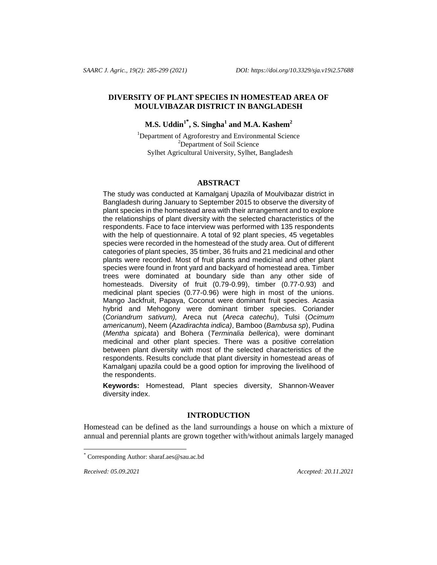# **DIVERSITY OF PLANT SPECIES IN HOMESTEAD AREA OF MOULVIBAZAR DISTRICT IN BANGLADESH**

# **M.S. Uddin<sup>1</sup>\* , S. Singha<sup>1</sup> and M.A. Kashem<sup>2</sup>**

<sup>1</sup>Department of Agroforestry and Environmental Science <sup>2</sup>Department of Soil Science Sylhet Agricultural University, Sylhet, Bangladesh

#### **ABSTRACT**

The study was conducted at Kamalganj Upazila of Moulvibazar district in Bangladesh during January to September 2015 to observe the diversity of plant species in the homestead area with their arrangement and to explore the relationships of plant diversity with the selected characteristics of the respondents. Face to face interview was performed with 135 respondents with the help of questionnaire. A total of 92 plant species, 45 vegetables species were recorded in the homestead of the study area. Out of different categories of plant species, 35 timber, 36 fruits and 21 medicinal and other plants were recorded. Most of fruit plants and medicinal and other plant species were found in front yard and backyard of homestead area. Timber trees were dominated at boundary side than any other side of homesteads. Diversity of fruit (0.79-0.99), timber (0.77-0.93) and medicinal plant species (0.77-0.96) were high in most of the unions. Mango Jackfruit, Papaya, Coconut were dominant fruit species. Acasia hybrid and Mehogony were dominant timber species. Coriander (*Coriandrum sativum),* Areca nut (*Areca catechu*), Tulsi (*Ocimum americanum*), Neem (*Azadirachta indica)*, Bamboo (*Bambusa sp*), Pudina (*Mentha spicata*) and Bohera (*Terminalia bellerica*), were dominant medicinal and other plant species. There was a positive correlation between plant diversity with most of the selected characteristics of the respondents. Results conclude that plant diversity in homestead areas of Kamalganj upazila could be a good option for improving the livelihood of the respondents.

**Keywords:** Homestead, Plant species diversity, Shannon-Weaver diversity index.

### **INTRODUCTION**

Homestead can be defined as the land surroundings a house on which a mixture of annual and perennial plants are grown together with/without animals largely managed

*Received: 05.09.2021 Accepted: 20.11.2021*

l

Corresponding Author[: sharaf.aes@sau.ac.bd](mailto:sharaf.aes@sau.ac.bd)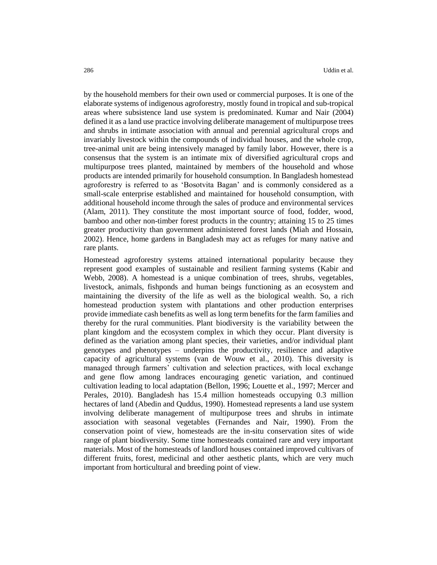by the household members for their own used or commercial purposes. It is one of the elaborate systems of indigenous agroforestry, mostly found in tropical and sub-tropical areas where subsistence land use system is predominated. Kumar and Nair (2004) defined it as a land use practice involving deliberate management of multipurpose trees and shrubs in intimate association with annual and perennial agricultural crops and invariably livestock within the compounds of individual houses, and the whole crop, tree-animal unit are being intensively managed by family labor. However, there is a consensus that the system is an intimate mix of diversified agricultural crops and multipurpose trees planted, maintained by members of the household and whose products are intended primarily for household consumption. In Bangladesh homestead agroforestry is referred to as 'Bosotvita Bagan' and is commonly considered as a small-scale enterprise established and maintained for household consumption, with additional household income through the sales of produce and environmental services (Alam, 2011). They constitute the most important source of food, fodder, wood, bamboo and other non-timber forest products in the country; attaining 15 to 25 times greater productivity than government administered forest lands (Miah and Hossain, 2002). Hence, home gardens in Bangladesh may act as refuges for many native and rare plants.

Homestead agroforestry systems attained international popularity because they represent good examples of sustainable and resilient farming systems (Kabir and Webb, 2008). A homestead is a unique combination of trees, shrubs, vegetables, livestock, animals, fishponds and human beings functioning as an ecosystem and maintaining the diversity of the life as well as the biological wealth. So, a rich homestead production system with plantations and other production enterprises provide immediate cash benefits as well as long term benefits for the farm families and thereby for the rural communities. Plant biodiversity is the variability between the plant kingdom and the ecosystem complex in which they occur. Plant diversity is defined as the variation among plant species, their varieties, and/or individual plant genotypes and phenotypes – underpins the productivity, resilience and adaptive capacity of agricultural systems (van de Wouw et al., 2010). This diversity is managed through farmers' cultivation and selection practices, with local exchange and gene flow among landraces encouraging genetic variation, and continued cultivation leading to local adaptation (Bellon, 1996; Louette et al., 1997; Mercer and Perales, 2010). Bangladesh has 15.4 million homesteads occupying 0.3 million hectares of land (Abedin and Quddus, 1990). Homestead represents a land use system involving deliberate management of multipurpose trees and shrubs in intimate association with seasonal vegetables (Fernandes and Nair, 1990). From the conservation point of view, homesteads are the in-situ conservation sites of wide range of plant biodiversity. Some time homesteads contained rare and very important materials. Most of the homesteads of landlord houses contained improved cultivars of different fruits, forest, medicinal and other aesthetic plants, which are very much important from horticultural and breeding point of view.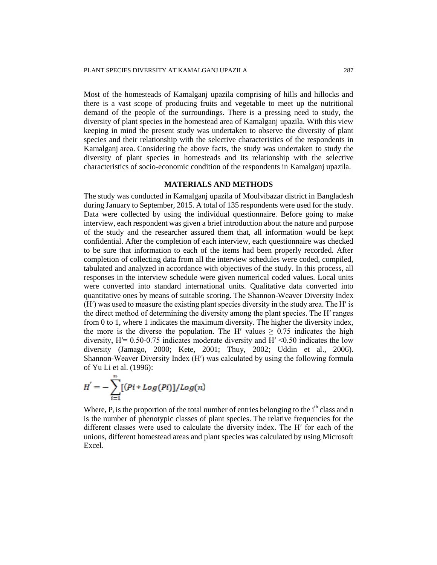Most of the homesteads of Kamalganj upazila comprising of hills and hillocks and there is a vast scope of producing fruits and vegetable to meet up the nutritional demand of the people of the surroundings. There is a pressing need to study, the diversity of plant species in the homestead area of Kamalganj upazila. With this view keeping in mind the present study was undertaken to observe the diversity of plant species and their relationship with the selective characteristics of the respondents in Kamalganj area. Considering the above facts, the study was undertaken to study the diversity of plant species in homesteads and its relationship with the selective characteristics of socio-economic condition of the respondents in Kamalganj upazila.

# **MATERIALS AND METHODS**

The study was conducted in Kamalganj upazila of Moulvibazar district in Bangladesh during January to September, 2015. A total of 135 respondents were used for the study. Data were collected by using the individual questionnaire. Before going to make interview, each respondent was given a brief introduction about the nature and purpose of the study and the researcher assured them that, all information would be kept confidential. After the completion of each interview, each questionnaire was checked to be sure that information to each of the items had been properly recorded. After completion of collecting data from all the interview schedules were coded, compiled, tabulated and analyzed in accordance with objectives of the study. In this process, all responses in the interview schedule were given numerical coded values. Local units were converted into standard international units. Qualitative data converted into quantitative ones by means of suitable scoring. The Shannon-Weaver Diversity Index (H′) was used to measure the existing plant species diversity in the study area. The H′ is the direct method of determining the diversity among the plant species. The H′ ranges from 0 to 1, where 1 indicates the maximum diversity. The higher the diversity index, the more is the diverse the population. The H' values  $\geq 0.75$  indicates the high diversity,  $H' = 0.50 - 0.75$  indicates moderate diversity and  $H' < 0.50$  indicates the low diversity (Jamago, 2000; Kete, 2001; Thuy, 2002; Uddin et al., 2006). Shannon-Weaver Diversity Index (H′) was calculated by using the following formula of Yu Li et al. (1996):

$$
H' = -\sum_{i=1}^{n} [(Pi * Log(Pi)]/Log(n)]
$$

Where,  $P_i$  is the proportion of the total number of entries belonging to the i<sup>th</sup> class and n is the number of phenotypic classes of plant species. The relative frequencies for the different classes were used to calculate the diversity index. The H′ for each of the unions, different homestead areas and plant species was calculated by using Microsoft Excel.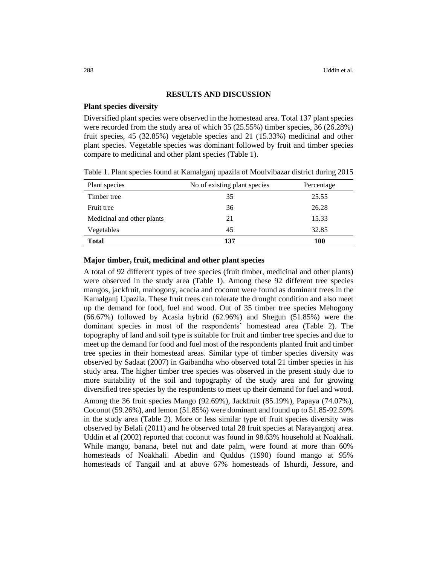### **RESULTS AND DISCUSSION**

#### **Plant species diversity**

Diversified plant species were observed in the homestead area. Total 137 plant species were recorded from the study area of which 35 (25.55%) timber species, 36 (26.28%) fruit species, 45 (32.85%) vegetable species and 21 (15.33%) medicinal and other plant species. Vegetable species was dominant followed by fruit and timber species compare to medicinal and other plant species (Table 1).

| Plant species              | No of existing plant species | Percentage |
|----------------------------|------------------------------|------------|
| Timber tree                | 35                           | 25.55      |
| Fruit tree                 | 36                           | 26.28      |
| Medicinal and other plants | 21                           | 15.33      |
| Vegetables                 | 45                           | 32.85      |
| <b>Total</b>               | 137                          | 100        |

Table 1. Plant species found at Kamalganj upazila of Moulvibazar district during 2015

# **Major timber, fruit, medicinal and other plant species**

A total of 92 different types of tree species (fruit timber, medicinal and other plants) were observed in the study area (Table 1). Among these 92 different tree species mangos, jackfruit, mahogony, acacia and coconut were found as dominant trees in the Kamalganj Upazila. These fruit trees can tolerate the drought condition and also meet up the demand for food, fuel and wood. Out of 35 timber tree species Mehogony (66.67%) followed by Acasia hybrid (62.96%) and Shegun (51.85%) were the dominant species in most of the respondents' homestead area (Table 2). The topography of land and soil type is suitable for fruit and timber tree species and due to meet up the demand for food and fuel most of the respondents planted fruit and timber tree species in their homestead areas. Similar type of timber species diversity was observed by Sadaat (2007) in Gaibandha who observed total 21 timber species in his study area. The higher timber tree species was observed in the present study due to more suitability of the soil and topography of the study area and for growing diversified tree species by the respondents to meet up their demand for fuel and wood.

Among the 36 fruit species Mango (92.69%), Jackfruit (85.19%), Papaya (74.07%), Coconut (59.26%), and lemon (51.85%) were dominant and found up to 51.85-92.59% in the study area (Table 2). More or less similar type of fruit species diversity was observed by Belali (2011) and he observed total 28 fruit species at Narayangonj area. Uddin et al (2002) reported that coconut was found in 98.63% household at Noakhali. While mango, banana, betel nut and date palm, were found at more than 60% homesteads of Noakhali. Abedin and Quddus (1990) found mango at 95% homesteads of Tangail and at above 67% homesteads of Ishurdi, Jessore, and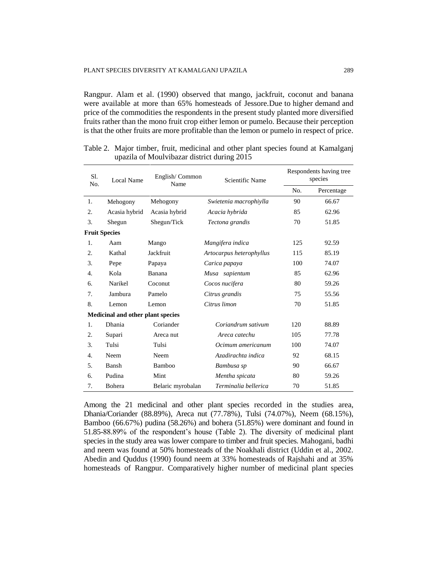Rangpur. Alam et al. (1990) observed that mango, jackfruit, coconut and banana were available at more than 65% homesteads of Jessore.Due to higher demand and price of the commodities the respondents in the present study planted more diversified fruits rather than the mono fruit crop either lemon or pumelo. Because their perception is that the other fruits are more profitable than the lemon or pumelo in respect of price.

| Sl.<br>No.           | Local Name                               | English/Common<br>Name | Scientific Name          |     | Respondents having tree<br>species |  |
|----------------------|------------------------------------------|------------------------|--------------------------|-----|------------------------------------|--|
|                      |                                          |                        |                          | No. | Percentage                         |  |
| 1.                   | Mehogony                                 | Mehogony               | Swietenia macrophiylla   | 90  | 66.67                              |  |
| 2.                   | Acasia hybrid                            | Acasia hybrid          | Acacia hybrida           | 85  | 62.96                              |  |
| 3.                   | Shegun                                   | Shegun/Tick            | Tectona grandis          | 70  | 51.85                              |  |
| <b>Fruit Species</b> |                                          |                        |                          |     |                                    |  |
| 1.                   | Aam                                      | Mango                  | Mangifera indica         | 125 | 92.59                              |  |
| 2.                   | Kathal                                   | Jackfruit              | Artocarpus heterophyllus | 115 | 85.19                              |  |
| 3.                   | Pepe                                     | Papaya                 | Carica papaya            | 100 | 74.07                              |  |
| 4.                   | Kola                                     | Banana                 | Musa sapientum           | 85  | 62.96                              |  |
| 6.                   | Narikel                                  | Coconut                | Cocos nucifera           | 80  | 59.26                              |  |
| 7.                   | Jambura                                  | Pamelo                 | Citrus grandis           | 75  | 55.56                              |  |
| 8.                   | Lemon                                    | Lemon                  | Citrus limon             | 70  | 51.85                              |  |
|                      | <b>Medicinal and other plant species</b> |                        |                          |     |                                    |  |
| 1.                   | Dhania                                   | Coriander              | Coriandrum sativum       | 120 | 88.89                              |  |
| 2.                   | Supari                                   | Areca nut              | Areca catechu            | 105 | 77.78                              |  |
| 3.                   | Tulsi                                    | Tulsi                  | Ocimum americanum        | 100 | 74.07                              |  |
| $\overline{4}$ .     | Neem                                     | Neem                   | Azadirachta indica       | 92  | 68.15                              |  |
| 5.                   | Bansh                                    | Bamboo                 | Bambusa sp               | 90  | 66.67                              |  |
| 6.                   | Pudina                                   | Mint                   | Mentha spicata           | 80  | 59.26                              |  |
| 7.                   | Bohera                                   | Belaric myrobalan      | Terminalia bellerica     | 70  | 51.85                              |  |

Table 2. Major timber, fruit, medicinal and other plant species found at Kamalganj upazila of Moulvibazar district during 2015

Among the 21 medicinal and other plant species recorded in the studies area, Dhania/Coriander (88.89%), Areca nut (77.78%), Tulsi (74.07%), Neem (68.15%), Bamboo (66.67%) pudina (58.26%) and bohera (51.85%) were dominant and found in 51.85-88.89% of the respondent's house (Table 2). The diversity of medicinal plant species in the study area was lower compare to timber and fruit species. Mahogani, badhi and neem was found at 50% homesteads of the Noakhali district (Uddin et al., 2002. Abedin and Quddus (1990) found neem at 33% homesteads of Rajshahi and at 35% homesteads of Rangpur. Comparatively higher number of medicinal plant species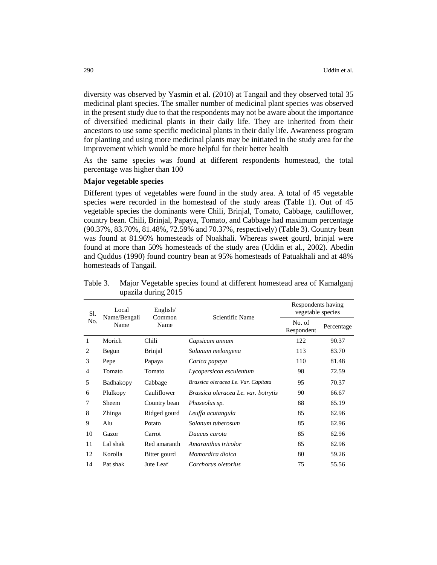diversity was observed by Yasmin et al. (2010) at Tangail and they observed total 35 medicinal plant species. The smaller number of medicinal plant species was observed in the present study due to that the respondents may not be aware about the importance of diversified medicinal plants in their daily life. They are inherited from their ancestors to use some specific medicinal plants in their daily life. Awareness program for planting and using more medicinal plants may be initiated in the study area for the improvement which would be more helpful for their better health

As the same species was found at different respondents homestead, the total percentage was higher than 100

### **Major vegetable species**

Different types of vegetables were found in the study area. A total of 45 vegetable species were recorded in the homestead of the study areas (Table 1). Out of 45 vegetable species the dominants were Chili, Brinjal, Tomato, Cabbage, cauliflower, country bean. Chili, Brinjal, Papaya, Tomato, and Cabbage had maximum percentage (90.37%, 83.70%, 81.48%, 72.59% and 70.37%, respectively) (Table 3). Country bean was found at 81.96% homesteads of Noakhali. Whereas sweet gourd, brinjal were found at more than 50% homesteads of the study area (Uddin et al., 2002). Abedin and Quddus (1990) found country bean at 95% homesteads of Patuakhali and at 48% homesteads of Tangail.

| Local<br>Sl.   |                      | English/       |                                     | Respondents having<br>vegetable species |            |
|----------------|----------------------|----------------|-------------------------------------|-----------------------------------------|------------|
| No.            | Name/Bengali<br>Name | Name           | Scientific Name<br>Common           |                                         | Percentage |
| 1              | Morich               | Chili          | Capsicum annum                      | 122                                     | 90.37      |
| $\overline{2}$ | Begun                | <b>Brinjal</b> | Solanum melongena                   | 113                                     | 83.70      |
| 3              | Pepe                 | Papaya         | Carica papaya                       | 110                                     | 81.48      |
| 4              | Tomato               | Tomato         | Lycopersicon esculentum             | 98                                      | 72.59      |
| 5              | Badhakopy            | Cabbage        | Brassica oleracea Le. Var. Capitata | 95                                      | 70.37      |
| 6              | Plulkopy             | Cauliflower    | Brassica oleracea Le. var. botrytis | 90                                      | 66.67      |
| 7              | Sheem                | Country bean   | Phaseolus sp.                       | 88                                      | 65.19      |
| 8              | Zhinga               | Ridged gourd   | Leuffa acutangula                   | 85                                      | 62.96      |
| 9              | Alu                  | Potato         | Solanum tuberosum                   | 85                                      | 62.96      |
| 10             | Gazor                | Carrot         | Daucus carota                       | 85                                      | 62.96      |
| 11             | Lal shak             | Red amaranth   | Amaranthus tricolor                 | 85                                      | 62.96      |
| 12             | Korolla              | Bitter gourd   | Momordica dioica                    | 80                                      | 59.26      |
| 14             | Pat shak             | Jute Leaf      | Corchorus oletorius                 | 75                                      | 55.56      |

Table 3. Major Vegetable species found at different homestead area of Kamalganj upazila during 2015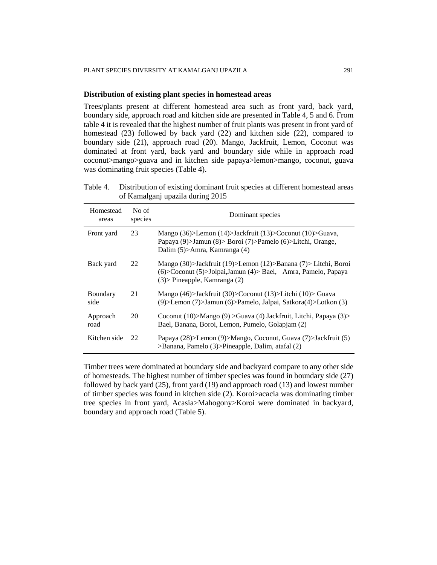#### **Distribution of existing plant species in homestead areas**

Trees/plants present at different homestead area such as front yard, back yard, boundary side, approach road and kitchen side are presented in Table 4, 5 and 6. From table 4 it is revealed that the highest number of fruit plants was present in front yard of homestead (23) followed by back yard (22) and kitchen side (22), compared to boundary side (21), approach road (20). Mango, Jackfruit, Lemon, Coconut was dominated at front yard, back yard and boundary side while in approach road coconut>mango>guava and in kitchen side papaya>lemon>mango, coconut, guava was dominating fruit species (Table 4).

Table 4. Distribution of existing dominant fruit species at different homestead areas of Kamalganj upazila during 2015

| Homestead<br>areas | No of<br>species | Dominant species                                                                                                                                                            |
|--------------------|------------------|-----------------------------------------------------------------------------------------------------------------------------------------------------------------------------|
| Front yard         | 23               | Mango (36)>Lemon (14)>Jackfruit (13)>Coconut (10)>Guava,<br>Papaya (9) > Jamun (8) > Boroi (7) > Pamelo (6) > Litchi, Orange,<br>Dalim (5)>Amra, Kamranga (4)               |
| Back yard          | 22               | Mango (30)>Jackfruit (19)>Lemon (12)>Banana (7)> Litchi, Boroi<br>$(6)$ >Coconut $(5)$ >Jolpai,Jamun $(4)$ >Bael, Amra, Pamelo, Papaya<br>$(3)$ > Pineapple, Kamranga $(2)$ |
| Boundary<br>side   | 21               | Mango (46) > Jackfruit (30) > Coconut (13) > Litchi (10) > Guava<br>(9) > Lemon (7) > Jamun (6) > Pamelo, Jalpai, Satkora(4) > Lotkon (3)                                   |
| Approach<br>road   | 20               | Coconut (10)>Mango (9) >Guava (4) Jackfruit, Litchi, Papaya (3)><br>Bael, Banana, Boroi, Lemon, Pumelo, Golapjam (2)                                                        |
| Kitchen side       | 22               | Papaya (28)>Lemon (9)>Mango, Coconut, Guava (7)>Jackfruit (5)<br>>Banana, Pamelo (3)>Pineapple, Dalim, atafal (2)                                                           |

Timber trees were dominated at boundary side and backyard compare to any other side of homesteads. The highest number of timber species was found in boundary side (27) followed by back yard (25), front yard (19) and approach road (13) and lowest number of timber species was found in kitchen side (2). Koroi>acacia was dominating timber tree species in front yard, Acasia>Mahogony>Koroi were dominated in backyard, boundary and approach road (Table 5).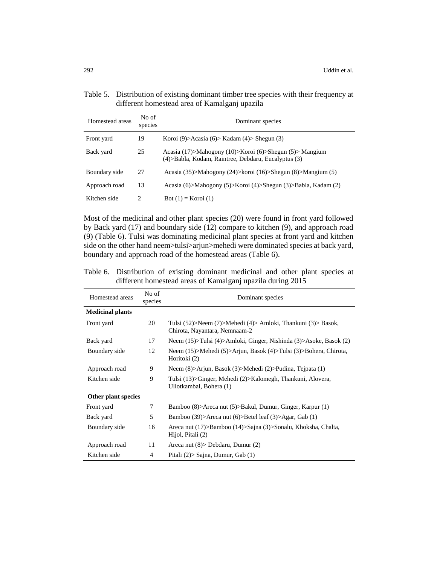| Table 5. Distribution of existing dominant timber tree species with their frequency at<br>different homestead area of Kamalganj upazila |
|-----------------------------------------------------------------------------------------------------------------------------------------|
|                                                                                                                                         |

| Homestead areas | No of<br>species              | Dominant species                                                                                                 |
|-----------------|-------------------------------|------------------------------------------------------------------------------------------------------------------|
| Front yard      | 19                            | Koroi (9)>Acasia (6)> Kadam (4)> Shegun (3)                                                                      |
| Back yard       | 25                            | Acasia (17)>Mahogony (10)>Koroi (6)>Shegun (5)> Mangium<br>(4) > Babla, Kodam, Raintree, Debdaru, Eucalyptus (3) |
| Boundary side   | 27                            | Acasia (35)>Mahogony (24)>koroi (16)>Shegun (8)>Mangium (5)                                                      |
| Approach road   | 13                            | Acasia (6)>Mahogony (5)>Koroi (4)>Shegun (3)>Babla, Kadam (2)                                                    |
| Kitchen side    | $\mathfrak{D}_{\mathfrak{p}}$ | Bot $(1)$ = Koroi $(1)$                                                                                          |

Most of the medicinal and other plant species (20) were found in front yard followed by Back yard (17) and boundary side (12) compare to kitchen (9), and approach road (9) (Table 6). Tulsi was dominating medicinal plant species at front yard and kitchen side on the other hand neem>tulsi>arjun>mehedi were dominated species at back yard, boundary and approach road of the homestead areas (Table 6).

Table 6. Distribution of existing dominant medicinal and other plant species at different homestead areas of Kamalganj upazila during 2015

| Homestead areas         | No of<br>species | Dominant species                                                                              |  |
|-------------------------|------------------|-----------------------------------------------------------------------------------------------|--|
| <b>Medicinal plants</b> |                  |                                                                                               |  |
| Front yard              | 20               | Tulsi (52)>Neem (7)>Mehedi (4)> Amloki, Thankuni (3)> Basok,<br>Chirota, Nayantara, Nemnaam-2 |  |
| Back yard               | 17               | Neem (15)>Tulsi (4)>Amloki, Ginger, Nishinda (3)>Asoke, Basok (2)                             |  |
| Boundary side           | 12               | Neem (15)>Mehedi (5)>Arjun, Basok (4)>Tulsi (3)>Bohera, Chirota,<br>Horitoki (2)              |  |
| Approach road           | 9                | Neem $(8)$ >Arjun, Basok $(3)$ >Mehedi $(2)$ >Pudina, Tejpata $(1)$                           |  |
| Kitchen side            | 9                | Tulsi (13)>Ginger, Mehedi (2)>Kalomegh, Thankuni, Alovera,<br>Ullotkambal, Bohera (1)         |  |
| Other plant species     |                  |                                                                                               |  |
| Front yard              | 7                | Bamboo (8)>Areca nut (5)>Bakul, Dumur, Ginger, Karpur (1)                                     |  |
| Back yard               | 5                | Bamboo (39)>Areca nut (6)>Betel leaf (3)>Agar, Gab (1)                                        |  |
| Boundary side           | 16               | Areca nut (17)>Bamboo (14)>Sajna (3)>Sonalu, Khoksha, Chalta,<br>Hijol, Pitali (2)            |  |
| Approach road           | 11               | Areca nut $(8)$ > Debdaru, Dumur $(2)$                                                        |  |
| Kitchen side            | $\overline{4}$   | Pitali $(2)$ > Sajna, Dumur, Gab $(1)$                                                        |  |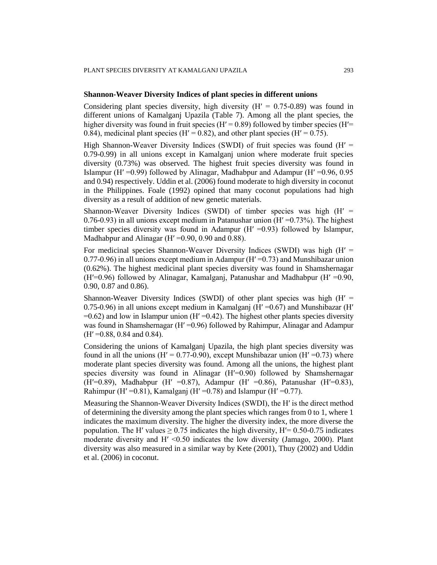# **Shannon-Weaver Diversity Indices of plant species in different unions**

Considering plant species diversity, high diversity  $(H' = 0.75-0.89)$  was found in different unions of Kamalganj Upazila (Table 7). Among all the plant species, the higher diversity was found in fruit species ( $H' = 0.89$ ) followed by timber species ( $H' =$ 0.84), medicinal plant species (H' = 0.82), and other plant species (H' = 0.75).

High Shannon-Weaver Diversity Indices (SWDI) of fruit species was found  $(H' =$ 0.79-0.99) in all unions except in Kamalganj union where moderate fruit species diversity (0.73%) was observed. The highest fruit species diversity was found in Islampur (Hʹ =0.99) followed by Alinagar, Madhabpur and Adampur (Hʹ =0.96, 0.95 and 0.94) respectively. Uddin et al. (2006) found moderate to high diversity in coconut in the Philippines. Foale (1992) opined that many coconut populations had high diversity as a result of addition of new genetic materials.

Shannon-Weaver Diversity Indices (SWDI) of timber species was high (Hʹ = 0.76-0.93) in all unions except medium in Patanushar union  $(H' = 0.73\%)$ . The highest timber species diversity was found in Adampur (Hʹ =0.93) followed by Islampur, Madhabpur and Alinagar ( $H' = 0.90$ , 0.90 and 0.88).

For medicinal species Shannon-Weaver Diversity Indices (SWDI) was high  $(H' =$ 0.77-0.96) in all unions except medium in Adampur (Hʹ =0.73) and Munshibazar union (0.62%). The highest medicinal plant species diversity was found in Shamshernagar (H $^{\prime}=0.96$ ) followed by Alinagar, Kamalganj, Patanushar and Madhabpur (H $^{\prime}=0.90$ , 0.90, 0.87 and 0.86).

Shannon-Weaver Diversity Indices (SWDI) of other plant species was high  $(H' =$ 0.75-0.96) in all unions except medium in Kamalganj ( $H' = 0.67$ ) and Munshibazar ( $H'$  $=0.62$ ) and low in Islampur union (H' $=0.42$ ). The highest other plants species diversity was found in Shamshernagar (Hʹ =0.96) followed by Rahimpur, Alinagar and Adampur  $(H' = 0.88, 0.84, and 0.84).$ 

Considering the unions of Kamalganj Upazila, the high plant species diversity was found in all the unions ( $H' = 0.77{\text -}0.90$ ), except Munshibazar union ( $H' = 0.73$ ) where moderate plant species diversity was found. Among all the unions, the highest plant species diversity was found in Alinagar (H'=0.90) followed by Shamshernagar (H'=0.89), Madhabpur (H' =0.87), Adampur (H' =0.86), Patanushar (H'=0.83), Rahimpur (H' = 0.81), Kamalganj (H' = 0.78) and Islampur (H' = 0.77).

Measuring the Shannon-Weaver Diversity Indices (SWDI), the H′ is the direct method of determining the diversity among the plant species which ranges from 0 to 1, where 1 indicates the maximum diversity. The higher the diversity index, the more diverse the population. The H' values  $\geq$  0.75 indicates the high diversity, H'= 0.50-0.75 indicates moderate diversity and H' <0.50 indicates the low diversity (Jamago, 2000). Plant diversity was also measured in a similar way by Kete (2001), Thuy (2002) and Uddin et al. (2006) in coconut.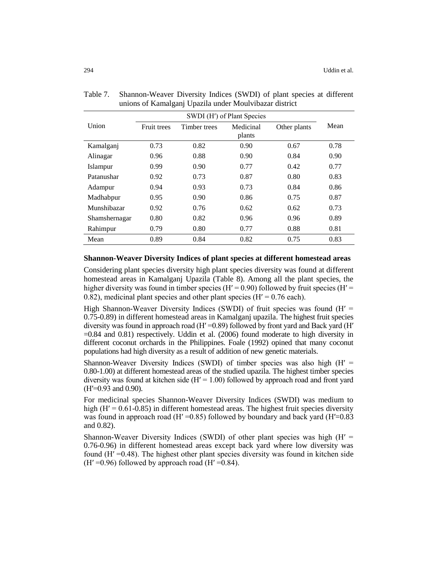|               | SWDI (H') of Plant Species |              |           |              |      |
|---------------|----------------------------|--------------|-----------|--------------|------|
| Union         | <b>Fruit trees</b>         | Timber trees | Medicinal | Other plants | Mean |
|               |                            |              | plants    |              |      |
| Kamalganj     | 0.73                       | 0.82         | 0.90      | 0.67         | 0.78 |
| Alinagar      | 0.96                       | 0.88         | 0.90      | 0.84         | 0.90 |
| Islampur      | 0.99                       | 0.90         | 0.77      | 0.42         | 0.77 |
| Patanushar    | 0.92                       | 0.73         | 0.87      | 0.80         | 0.83 |
| Adampur       | 0.94                       | 0.93         | 0.73      | 0.84         | 0.86 |
| Madhabpur     | 0.95                       | 0.90         | 0.86      | 0.75         | 0.87 |
| Munshibazar   | 0.92                       | 0.76         | 0.62      | 0.62         | 0.73 |
| Shamshernagar | 0.80                       | 0.82         | 0.96      | 0.96         | 0.89 |
| Rahimpur      | 0.79                       | 0.80         | 0.77      | 0.88         | 0.81 |
| Mean          | 0.89                       | 0.84         | 0.82      | 0.75         | 0.83 |

Table 7. Shannon-Weaver Diversity Indices (SWDI) of plant species at different unions of Kamalganj Upazila under Moulvibazar district

## **Shannon-Weaver Diversity Indices of plant species at different homestead areas**

Considering plant species diversity high plant species diversity was found at different homestead areas in Kamalganj Upazila (Table 8). Among all the plant species, the higher diversity was found in timber species ( $H' = 0.90$ ) followed by fruit species ( $H' = 0.90$ ) 0.82), medicinal plant species and other plant species ( $H' = 0.76$  each).

High Shannon-Weaver Diversity Indices (SWDI) of fruit species was found ( $H' =$ 0.75-0.89) in different homestead areas in Kamalganj upazila. The highest fruit species diversity was found in approach road ( $H' = 0.89$ ) followed by front yard and Back yard ( $H'$ =0.84 and 0.81) respectively. Uddin et al. (2006) found moderate to high diversity in different coconut orchards in the Philippines. Foale (1992) opined that many coconut populations had high diversity as a result of addition of new genetic materials.

Shannon-Weaver Diversity Indices (SWDI) of timber species was also high  $(H' =$ 0.80-1.00) at different homestead areas of the studied upazila. The highest timber species diversity was found at kitchen side  $(H<sup>r</sup> = 1.00)$  followed by approach road and front yard  $(H'=0.93$  and 0.90).

For medicinal species Shannon-Weaver Diversity Indices (SWDI) was medium to high  $(H' = 0.61-0.85)$  in different homestead areas. The highest fruit species diversity was found in approach road (H' =  $0.85$ ) followed by boundary and back yard (H' =  $0.83$ ) and 0.82).

Shannon-Weaver Diversity Indices (SWDI) of other plant species was high  $(H' =$ 0.76-0.96) in different homestead areas except back yard where low diversity was found  $(H' = 0.48)$ . The highest other plant species diversity was found in kitchen side  $(H' = 0.96)$  followed by approach road  $(H' = 0.84)$ .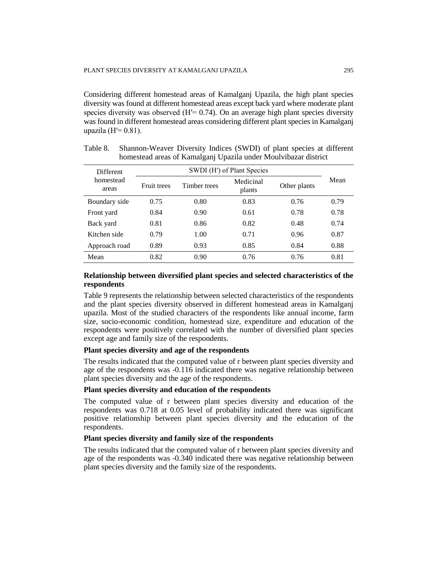Considering different homestead areas of Kamalganj Upazila, the high plant species diversity was found at different homestead areas except back yard where moderate plant species diversity was observed  $(H = 0.74)$ . On an average high plant species diversity was found in different homestead areas considering different plant species in Kamalganj upazila ( $H = 0.81$ ).

| <b>Different</b>   | SWDI (H') of Plant Species |              |                     |              |      |
|--------------------|----------------------------|--------------|---------------------|--------------|------|
| homestead<br>areas | <b>Fruit trees</b>         | Timber trees | Medicinal<br>plants | Other plants | Mean |
| Boundary side      | 0.75                       | 0.80         | 0.83                | 0.76         | 0.79 |
| Front yard         | 0.84                       | 0.90         | 0.61                | 0.78         | 0.78 |
| Back yard          | 0.81                       | 0.86         | 0.82                | 0.48         | 0.74 |
| Kitchen side       | 0.79                       | 1.00         | 0.71                | 0.96         | 0.87 |
| Approach road      | 0.89                       | 0.93         | 0.85                | 0.84         | 0.88 |
| Mean               | 0.82                       | 0.90         | 0.76                | 0.76         | 0.81 |

Table 8. Shannon-Weaver Diversity Indices (SWDI) of plant species at different homestead areas of Kamalganj Upazila under Moulvibazar district

# **Relationship between diversified plant species and selected characteristics of the respondents**

Table 9 represents the relationship between selected characteristics of the respondents and the plant species diversity observed in different homestead areas in Kamalganj upazila. Most of the studied characters of the respondents like annual income, farm size, socio-economic condition, homestead size, expenditure and education of the respondents were positively correlated with the number of diversified plant species except age and family size of the respondents.

# **Plant species diversity and age of the respondents**

The results indicated that the computed value of r between plant species diversity and age of the respondents was -0.116 indicated there was negative relationship between plant species diversity and the age of the respondents.

## **Plant species diversity and education of the respondents**

The computed value of r between plant species diversity and education of the respondents was 0.718 at 0.05 level of probability indicated there was significant positive relationship between plant species diversity and the education of the respondents.

#### **Plant species diversity and family size of the respondents**

The results indicated that the computed value of r between plant species diversity and age of the respondents was -0.340 indicated there was negative relationship between plant species diversity and the family size of the respondents.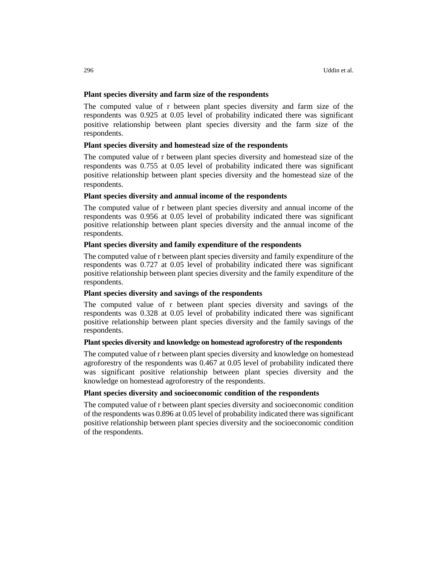# **Plant species diversity and farm size of the respondents**

The computed value of r between plant species diversity and farm size of the respondents was 0.925 at 0.05 level of probability indicated there was significant positive relationship between plant species diversity and the farm size of the respondents.

# **Plant species diversity and homestead size of the respondents**

The computed value of r between plant species diversity and homestead size of the respondents was 0.755 at 0.05 level of probability indicated there was significant positive relationship between plant species diversity and the homestead size of the respondents.

# **Plant species diversity and annual income of the respondents**

The computed value of r between plant species diversity and annual income of the respondents was 0.956 at 0.05 level of probability indicated there was significant positive relationship between plant species diversity and the annual income of the respondents.

# **Plant species diversity and family expenditure of the respondents**

The computed value of r between plant species diversity and family expenditure of the respondents was 0.727 at 0.05 level of probability indicated there was significant positive relationship between plant species diversity and the family expenditure of the respondents.

# **Plant species diversity and savings of the respondents**

The computed value of r between plant species diversity and savings of the respondents was 0.328 at 0.05 level of probability indicated there was significant positive relationship between plant species diversity and the family savings of the respondents.

# **Plant species diversity and knowledge on homestead agroforestry of the respondents**

The computed value of r between plant species diversity and knowledge on homestead agroforestry of the respondents was 0.467 at 0.05 level of probability indicated there was significant positive relationship between plant species diversity and the knowledge on homestead agroforestry of the respondents.

# **Plant species diversity and socioeconomic condition of the respondents**

The computed value of r between plant species diversity and socioeconomic condition of the respondents was 0.896 at 0.05 level of probability indicated there was significant positive relationship between plant species diversity and the socioeconomic condition of the respondents.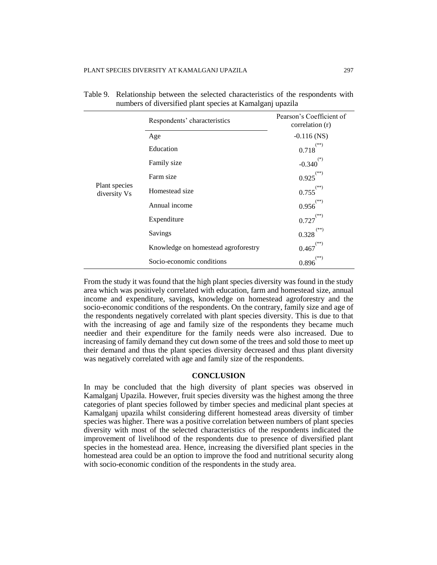|                               | Respondents' characteristics        | Pearson's Coefficient of<br>correlation (r) |
|-------------------------------|-------------------------------------|---------------------------------------------|
|                               | Age                                 | $-0.116$ (NS)                               |
|                               | Education                           | $^{(**)}$<br>0.718                          |
| Plant species<br>diversity Vs | Family size                         | $(*)$<br>$-0.340$                           |
|                               | Farm size                           | (**)<br>0.925                               |
|                               | Homestead size                      | $^{(\ast\ast)}$<br>0.755                    |
|                               | Annual income                       | $(**)$<br>0.956                             |
|                               | Expenditure                         | $(**)$<br>0.727                             |
|                               | Savings                             | 0.328                                       |
|                               | Knowledge on homestead agroforestry | $(**)$<br>0.467                             |
|                               | Socio-economic conditions           | (**)<br>0.896                               |

| Table 9. Relationship between the selected characteristics of the respondents with |
|------------------------------------------------------------------------------------|
| numbers of diversified plant species at Kamalganj upazila                          |

From the study it was found that the high plant species diversity was found in the study area which was positively correlated with education, farm and homestead size, annual income and expenditure, savings, knowledge on homestead agroforestry and the socio-economic conditions of the respondents. On the contrary, family size and age of the respondents negatively correlated with plant species diversity. This is due to that with the increasing of age and family size of the respondents they became much needier and their expenditure for the family needs were also increased. Due to increasing of family demand they cut down some of the trees and sold those to meet up their demand and thus the plant species diversity decreased and thus plant diversity was negatively correlated with age and family size of the respondents.

#### **CONCLUSION**

In may be concluded that the high diversity of plant species was observed in Kamalganj Upazila. However, fruit species diversity was the highest among the three categories of plant species followed by timber species and medicinal plant species at Kamalganj upazila whilst considering different homestead areas diversity of timber species was higher. There was a positive correlation between numbers of plant species diversity with most of the selected characteristics of the respondents indicated the improvement of livelihood of the respondents due to presence of diversified plant species in the homestead area. Hence, increasing the diversified plant species in the homestead area could be an option to improve the food and nutritional security along with socio-economic condition of the respondents in the study area.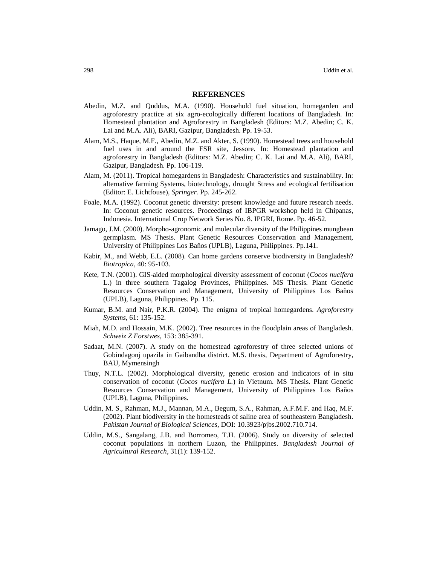#### **REFERENCES**

- Abedin, M.Z. and Quddus, M.A. (1990). Household fuel situation, homegarden and agroforestry practice at six agro-ecologically different locations of Bangladesh. In: Homestead plantation and Agroforestry in Bangladesh (Editors: M.Z. Abedin; C. K. Lai and M.A. Ali), BARI, Gazipur, Bangladesh. Pp. 19-53.
- Alam, M.S., Haque, M.F., Abedin, M.Z. and Akter, S. (1990). Homestead trees and household fuel uses in and around the FSR site, Jessore. In: Homestead plantation and agroforestry in Bangladesh (Editors: M.Z. Abedin; C. K. Lai and M.A. Ali), BARI, Gazipur, Bangladesh. Pp. 106-119.
- Alam, M. (2011). Tropical homegardens in Bangladesh: Characteristics and sustainability. In: alternative farming Systems, biotechnology, drought Stress and ecological fertilisation (Editor: E. Lichtfouse), *Springer.* Pp. 245-262.
- Foale, M.A. (1992). Coconut genetic diversity: present knowledge and future research needs. In: Coconut genetic resources. Proceedings of IBPGR workshop held in Chipanas, Indonesia. International Crop Network Series No. 8. IPGRI, Rome. Pp. 46-52.
- Jamago, J.M. (2000). Morpho-agronomic and molecular diversity of the Philippines mungbean germplasm. MS Thesis. Plant Genetic Resources Conservation and Management, University of Philippines Los Baños (UPLB), Laguna, Philippines. Pp.141.
- Kabir, M., and Webb, E.L. (2008). Can home gardens conserve biodiversity in Bangladesh? *Biotropica*, 40: 95-103.
- Kete, T.N. (2001). GIS-aided morphological diversity assessment of coconut (*Cocos nucifera* L.) in three southern Tagalog Provinces, Philippines. MS Thesis. Plant Genetic Resources Conservation and Management, University of Philippines Los Baños (UPLB), Laguna, Philippines. Pp. 115.
- Kumar, B.M. and Nair, P.K.R. (2004). The enigma of tropical homegardens. *Agroforestry Systems*, 61: 135-152.
- Miah, M.D. and Hossain, M.K. (2002). Tree resources in the floodplain areas of Bangladesh. *Schweiz Z Forstwes*, 153: 385-391.
- Sadaat, M.N. (2007). A study on the homestead agroforestry of three selected unions of Gobindagonj upazila in Gaibandha district. M.S. thesis, Department of Agroforestry, BAU, Mymensingh
- Thuy, N.T.L. (2002). Morphological diversity, genetic erosion and indicators of in situ conservation of coconut (*Cocos nucifera L.*) in Vietnum. MS Thesis. Plant Genetic Resources Conservation and Management, University of Philippines Los Baños (UPLB), Laguna, Philippines.
- Uddin, M. S., Rahman, M.J., Mannan, M.A., Begum, S.A., Rahman, A.F.M.F. and Haq, M.F. (2002). Plant biodiversity in the homesteads of saline area of southeastern Bangladesh. *Pakistan Journal of Biological Sciences*, DOI: 10.3923/pjbs.2002.710.714.
- Uddin, M.S., Sangalang, J.B. and Borromeo, T.H. (2006). Study on diversity of selected coconut populations in northern Luzon, the Philippines. *Bangladesh Journal of Agricultural Research*, 31(1): 139-152.